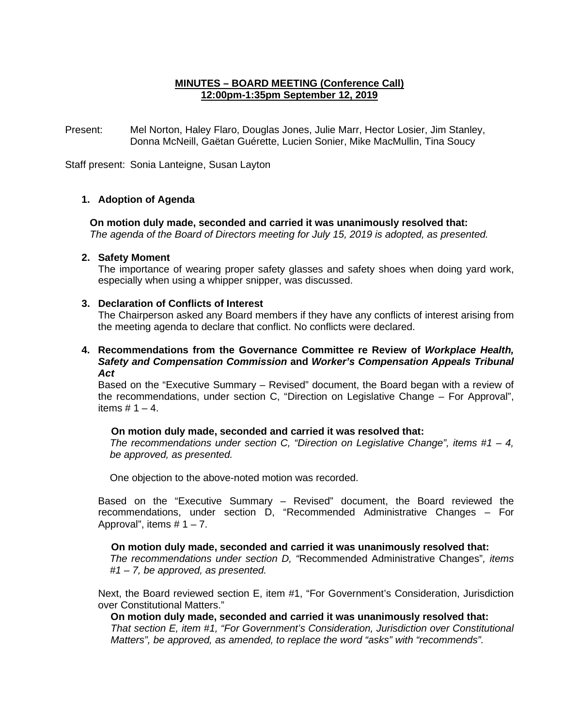# **MINUTES – BOARD MEETING (Conference Call) 12:00pm-1:35pm September 12, 2019**

Present: Mel Norton, Haley Flaro, Douglas Jones, Julie Marr, Hector Losier, Jim Stanley, Donna McNeill, Gaëtan Guérette, Lucien Sonier, Mike MacMullin, Tina Soucy

Staff present: Sonia Lanteigne, Susan Layton

## **1. Adoption of Agenda**

**On motion duly made, seconded and carried it was unanimously resolved that:** *The agenda of the Board of Directors meeting for July 15, 2019 is adopted, as presented.*

### **2. Safety Moment**

The importance of wearing proper safety glasses and safety shoes when doing yard work, especially when using a whipper snipper, was discussed.

### **3. Declaration of Conflicts of Interest**

The Chairperson asked any Board members if they have any conflicts of interest arising from the meeting agenda to declare that conflict. No conflicts were declared.

**4. Recommendations from the Governance Committee re Review of** *Workplace Health, Safety and Compensation Commission* **and** *Worker's Compensation Appeals Tribunal Act*

Based on the "Executive Summary – Revised" document, the Board began with a review of the recommendations, under section C, "Direction on Legislative Change – For Approval", items  $# 1 - 4$ .

#### **On motion duly made, seconded and carried it was resolved that:**

*The recommendations under section C, "Direction on Legislative Change", items #1 – 4, be approved, as presented.*

One objection to the above-noted motion was recorded.

Based on the "Executive Summary – Revised" document, the Board reviewed the recommendations, under section D, "Recommended Administrative Changes – For Approval", items  $# 1 - 7$ .

#### **On motion duly made, seconded and carried it was unanimously resolved that:**

*The recommendations under section D, "*Recommended Administrative Changes"*, items #1 – 7, be approved, as presented.*

Next, the Board reviewed section E, item #1, "For Government's Consideration, Jurisdiction over Constitutional Matters."

**On motion duly made, seconded and carried it was unanimously resolved that:** *That section E, item #1, "For Government's Consideration, Jurisdiction over Constitutional Matters", be approved, as amended, to replace the word "asks" with "recommends".*